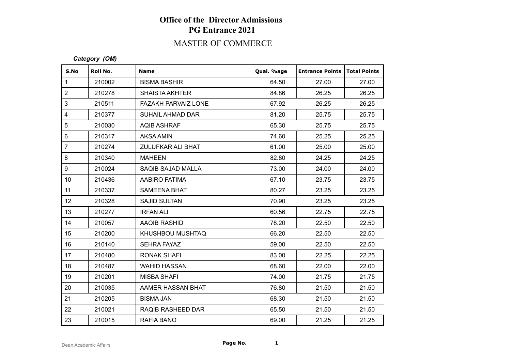## **Office of the Director Admissions PG Entrance 2021**

### MASTER OF COMMERCE

#### *Category (OM)*

| S.No                    | Roll No. | <b>Name</b>                | Qual. %age | <b>Entrance Points   Total Points</b> |       |
|-------------------------|----------|----------------------------|------------|---------------------------------------|-------|
| $\mathbf{1}$            | 210002   | <b>BISMA BASHIR</b>        | 64.50      | 27.00                                 | 27.00 |
| $\overline{2}$          | 210278   | <b>SHAISTA AKHTER</b>      | 84.86      | 26.25                                 | 26.25 |
| 3                       | 210511   | <b>FAZAKH PARVAIZ LONE</b> | 67.92      | 26.25                                 | 26.25 |
| $\overline{\mathbf{4}}$ | 210377   | <b>SUHAIL AHMAD DAR</b>    | 81.20      | 25.75                                 | 25.75 |
| 5                       | 210030   | <b>AQIB ASHRAF</b>         | 65.30      | 25.75                                 | 25.75 |
| $\,6\,$                 | 210317   | <b>AKSA AMIN</b>           | 74.60      | 25.25                                 | 25.25 |
| $\overline{7}$          | 210274   | ZULUFKAR ALI BHAT          | 61.00      | 25.00                                 | 25.00 |
| 8                       | 210340   | <b>MAHEEN</b>              | 82.80      | 24.25                                 | 24.25 |
| 9                       | 210024   | SAQIB SAJAD MALLA          | 73.00      | 24.00                                 | 24.00 |
| 10 <sup>1</sup>         | 210436   | AABIRO FATIMA              | 67.10      | 23.75                                 | 23.75 |
| 11                      | 210337   | <b>SAMEENA BHAT</b>        | 80.27      | 23.25                                 | 23.25 |
| 12 <sub>2</sub>         | 210328   | <b>SAJID SULTAN</b>        | 70.90      | 23.25                                 | 23.25 |
| 13                      | 210277   | <b>IRFAN ALI</b>           | 60.56      | 22.75                                 | 22.75 |
| 14                      | 210057   | AAQIB RASHID               | 78.20      | 22.50                                 | 22.50 |
| 15                      | 210200   | KHUSHBOU MUSHTAQ           | 66.20      | 22.50                                 | 22.50 |
| 16                      | 210140   | <b>SEHRA FAYAZ</b>         | 59.00      | 22.50                                 | 22.50 |
| 17                      | 210480   | <b>RONAK SHAFI</b>         | 83.00      | 22.25                                 | 22.25 |
| 18                      | 210487   | <b>WAHID HASSAN</b>        | 68.60      | 22.00                                 | 22.00 |
| 19                      | 210201   | <b>MISBA SHAFI</b>         | 74.00      | 21.75                                 | 21.75 |
| 20                      | 210035   | AAMER HASSAN BHAT          | 76.80      | 21.50                                 | 21.50 |
| 21                      | 210205   | <b>BISMA JAN</b>           | 68.30      | 21.50                                 | 21.50 |
| 22                      | 210021   | RAQIB RASHEED DAR          | 65.50      | 21.50                                 | 21.50 |
| 23                      | 210015   | <b>RAFIA BANO</b>          | 69.00      | 21.25                                 | 21.25 |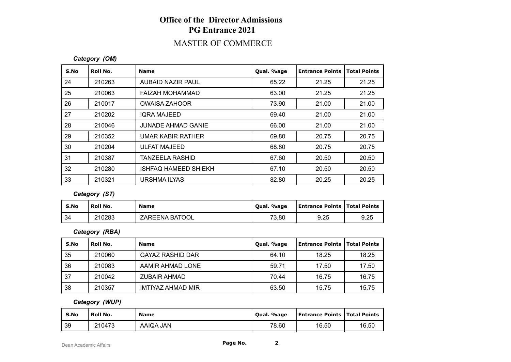## **Office of the Director Admissions PG Entrance 2021**

### MASTER OF COMMERCE

#### *Category (OM)*

| S.No | Roll No. | <b>Name</b>                 | Qual. %age | <b>Entrance Points</b> | <b>Total Points</b> |
|------|----------|-----------------------------|------------|------------------------|---------------------|
| 24   | 210263   | AUBAID NAZIR PAUL           | 65.22      | 21.25                  | 21.25               |
| 25   | 210063   | FAIZAH MOHAMMAD             | 63.00      | 21.25                  | 21.25               |
| 26   | 210017   | <b>OWAISA ZAHOOR</b>        | 73.90      | 21.00                  | 21.00               |
| 27   | 210202   | <b>IQRA MAJEED</b>          | 69.40      | 21.00                  | 21.00               |
| 28   | 210046   | <b>JUNADE AHMAD GANIE</b>   | 66.00      | 21.00                  | 21.00               |
| 29   | 210352   | UMAR KABIR RATHER           | 69.80      | 20.75                  | 20.75               |
| 30   | 210204   | ULFAT MAJEED                | 68.80      | 20.75                  | 20.75               |
| 31   | 210387   | <b>TANZEELA RASHID</b>      | 67.60      | 20.50                  | 20.50               |
| 32   | 210280   | <b>ISHFAQ HAMEED SHIEKH</b> | 67.10      | 20.50                  | 20.50               |
| 33   | 210321   | URSHMA ILYAS                | 82.80      | 20.25                  | 20.25               |

*Category (ST)*

| S.No | <b>Roll No.</b> | <b>Name</b>    | Oual. %age | Entrance Points   Total Points |      |
|------|-----------------|----------------|------------|--------------------------------|------|
| 34   | 210283          | ZAREENA BATOOL | 73.80      | 9.25                           | 9.25 |

*Category (RBA)*

| S.No | Roll No. | <b>Name</b>             | Qual. %age | Entrance Points   Total Points |       |
|------|----------|-------------------------|------------|--------------------------------|-------|
| 35   | 210060   | <b>GAYAZ RASHID DAR</b> | 64.10      | 18.25                          | 18.25 |
| 36   | 210083   | AAMIR AHMAD LONE        | 59.71      | 17.50                          | 17.50 |
| 37   | 210042   | <b>ZUBAIR AHMAD</b>     | 70.44      | 16.75                          | 16.75 |
| 38   | 210357   | IMTIYAZ AHMAD MIR       | 63.50      | 15.75                          | 15.75 |

#### *Category (WUP)*

| S.No | Roll No. | <b>Name</b> | Qual. %age | Entrance Points   Total Points |       |
|------|----------|-------------|------------|--------------------------------|-------|
| 39   | 210473   | AAIQA JAN   | 78.60      | 16.50                          | 16.50 |